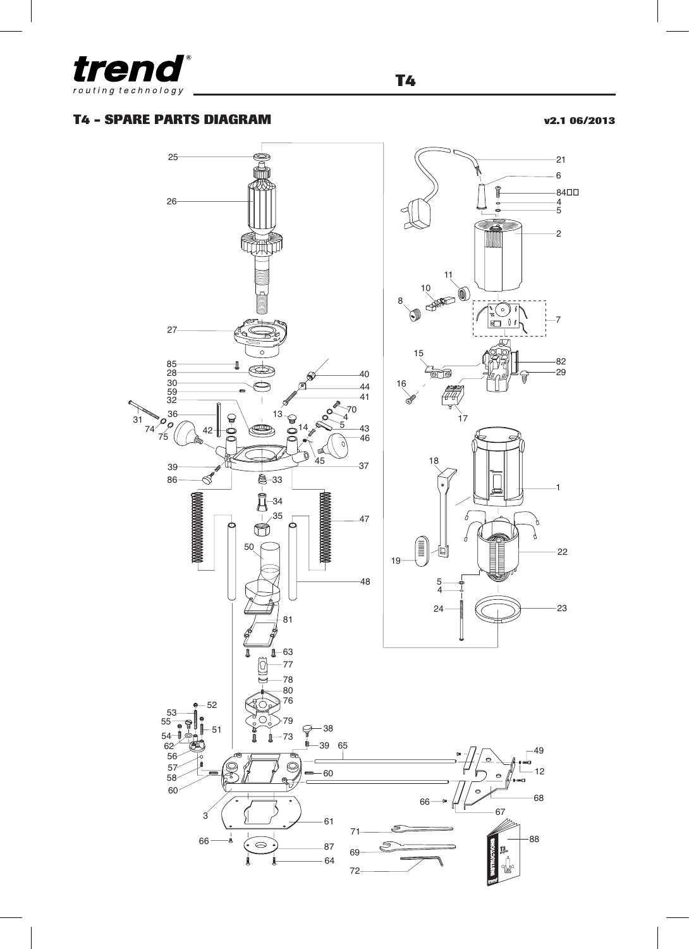

## **T4 - SPARE PARTS DIAGRAM v2.1 06/2013**



**T4**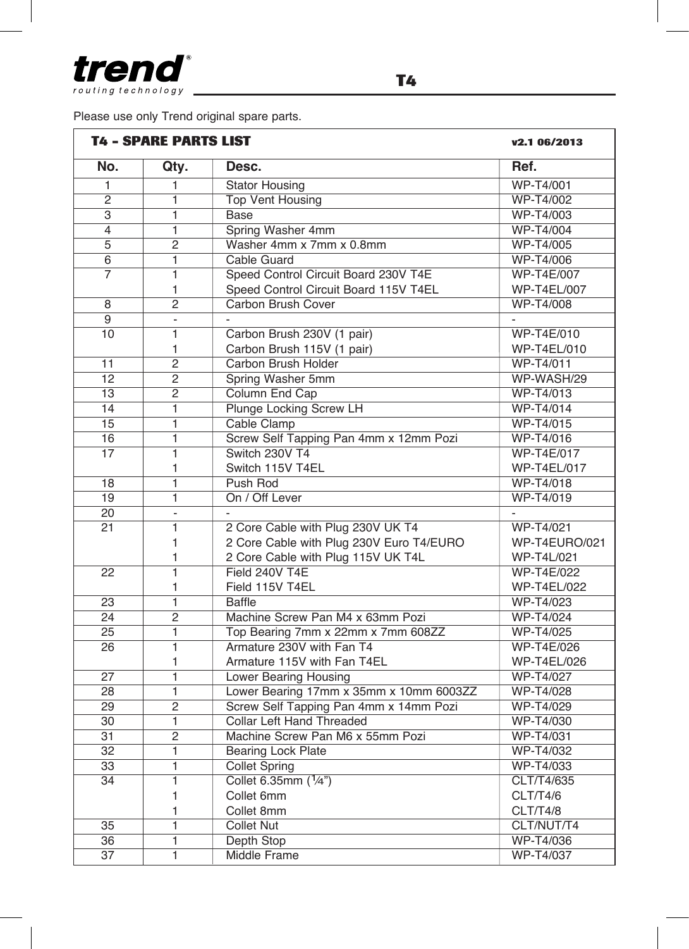

Please use only Trend original spare parts.

|                 | <b>T4 - SPARE PARTS LIST</b> |                                          |                    |
|-----------------|------------------------------|------------------------------------------|--------------------|
| No.             | Qty.                         | Desc.                                    | Ref.               |
| 1               | 1                            | <b>Stator Housing</b>                    | WP-T4/001          |
| $\overline{2}$  | 1                            | <b>Top Vent Housing</b>                  | WP-T4/002          |
| $\overline{s}$  | $\overline{1}$               | <b>Base</b>                              | <b>WP-T4/003</b>   |
| $\overline{4}$  | $\overline{1}$               | Spring Washer 4mm                        | <b>WP-T4/004</b>   |
| $\overline{5}$  | $\overline{2}$               | Washer 4mm x 7mm x 0.8mm                 | WP-T4/005          |
| $\overline{6}$  | $\overline{1}$               | Cable Guard                              | <b>WP-T4/006</b>   |
| $\overline{7}$  | $\overline{1}$               | Speed Control Circuit Board 230V T4E     | <b>WP-T4E/007</b>  |
|                 | 1                            | Speed Control Circuit Board 115V T4EL    | <b>WP-T4EL/007</b> |
| 8               | $\overline{2}$               | Carbon Brush Cover                       | WP-T4/008          |
| 9               | $\overline{a}$               |                                          |                    |
| 10              | 1                            | Carbon Brush 230V (1 pair)               | WP-T4E/010         |
|                 | 1                            | Carbon Brush 115V (1 pair)               | WP-T4EL/010        |
| 11              | $\overline{2}$               | Carbon Brush Holder                      | WP-T4/011          |
| 12              | $\overline{2}$               | Spring Washer 5mm                        | WP-WASH/29         |
| $\overline{13}$ | $\overline{2}$               | Column End Cap                           | WP-T4/013          |
| $\overline{14}$ | $\overline{1}$               | Plunge Locking Screw LH                  | <b>WP-T4/014</b>   |
| 15              | 1                            | Cable Clamp                              | WP-T4/015          |
| 16              | ī                            | Screw Self Tapping Pan 4mm x 12mm Pozi   | WP-T4/016          |
| $\overline{17}$ | ī                            | Switch 230V T4                           | <b>WP-T4E/017</b>  |
|                 | 1                            | Switch 115V T4EL                         | <b>WP-T4EL/017</b> |
| 18              | $\overline{1}$               | Push Rod                                 | WP-T4/018          |
| 19              | $\overline{1}$               | On / Off Lever                           | WP-T4/019          |
| 20              | $\overline{a}$               | $\overline{\phantom{a}}$                 |                    |
| 21              | $\mathbf{1}$                 | 2 Core Cable with Plug 230V UK T4        | WP-T4/021          |
|                 | $\mathbf{1}$                 | 2 Core Cable with Plug 230V Euro T4/EURO | WP-T4EURO/021      |
|                 | 1                            | 2 Core Cable with Plug 115V UK T4L       | WP-T4L/021         |
| 22              | $\mathbf{1}$                 | Field 240V T4E                           | <b>WP-T4E/022</b>  |
|                 | $\mathbf{1}$                 | Field 115V T4EL                          | <b>WP-T4EL/022</b> |
| 23              | 1                            | <b>Baffle</b>                            | WP-T4/023          |
| 24              | $\overline{2}$               | Machine Screw Pan M4 x 63mm Pozi         | <b>WP-T4/024</b>   |
| 25              | $\overline{1}$               | Top Bearing 7mm x 22mm x 7mm 608ZZ       | <b>WP-T4/025</b>   |
| 26              | $\overline{1}$               | Armature 230V with Fan T4                | WP-T4E/026         |
|                 | $\mathbf{1}$                 | Armature 115V with Fan T4EL              | <b>WP-T4EL/026</b> |
| $\overline{27}$ | $\overline{1}$               | <b>Lower Bearing Housing</b>             | WP-T4/027          |
| 28              | 1                            | Lower Bearing 17mm x 35mm x 10mm 6003ZZ  | WP-T4/028          |
| $\overline{29}$ | $\overline{2}$               | Screw Self Tapping Pan 4mm x 14mm Pozi   | WP-T4/029          |
| 30              | $\overline{1}$               | Collar Left Hand Threaded                | WP-T4/030          |
| $\overline{31}$ | $\overline{2}$               | Machine Screw Pan M6 x 55mm Pozi         | WP-T4/031          |
| $\overline{32}$ | $\mathbf{1}$                 | <b>Bearing Lock Plate</b>                | <b>WP-T4/032</b>   |
| $\overline{33}$ | $\overline{1}$               | <b>Collet Spring</b>                     | WP-T4/033          |
| 34              | $\overline{1}$               | Collet 6.35mm (1/4")                     | CLT/T4/635         |
|                 | $\mathbf{1}$                 | Collet 6mm                               | CLT/T4/6           |
|                 | 1                            | Collet 8mm                               | CLT/T4/8           |
| 35              | 1                            | <b>Collet Nut</b>                        | CLT/NUT/T4         |
| 36              | $\mathbf{1}$                 | Depth Stop                               | <b>WP-T4/036</b>   |
| $\overline{37}$ | ī                            | <b>Middle Frame</b>                      | <b>WP-T4/037</b>   |